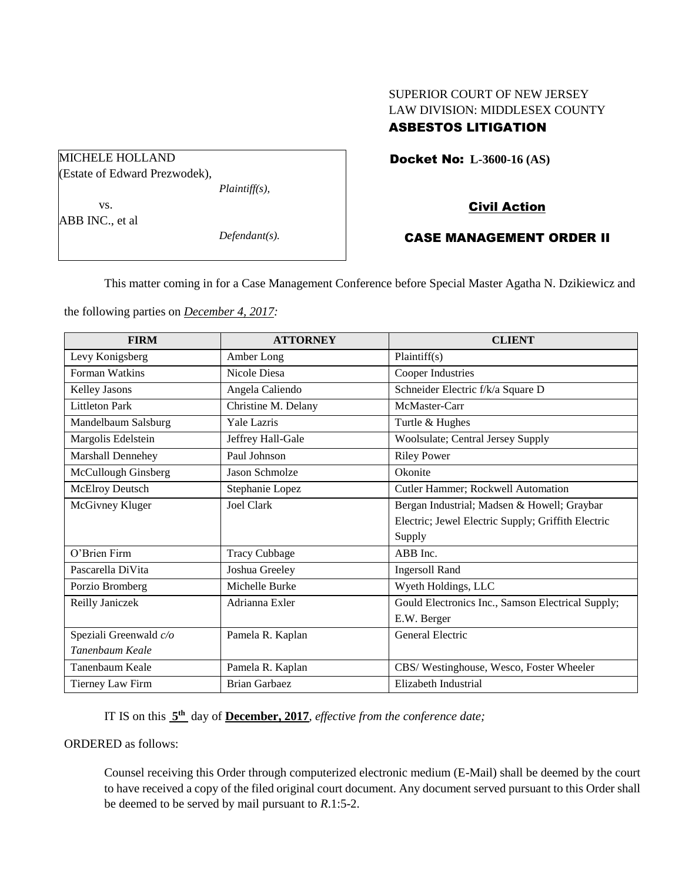# SUPERIOR COURT OF NEW JERSEY LAW DIVISION: MIDDLESEX COUNTY

# ASBESTOS LITIGATION

Docket No: **L-3600-16 (AS)** 

## Civil Action

## CASE MANAGEMENT ORDER II

This matter coming in for a Case Management Conference before Special Master Agatha N. Dzikiewicz and

the following parties on *December 4, 2017:*

| <b>FIRM</b>            | <b>ATTORNEY</b>      | <b>CLIENT</b>                                      |
|------------------------|----------------------|----------------------------------------------------|
| Levy Konigsberg        | Amber Long           | Plaintiff(s)                                       |
| Forman Watkins         | Nicole Diesa         | Cooper Industries                                  |
| Kelley Jasons          | Angela Caliendo      | Schneider Electric f/k/a Square D                  |
| <b>Littleton Park</b>  | Christine M. Delany  | McMaster-Carr                                      |
| Mandelbaum Salsburg    | <b>Yale Lazris</b>   | Turtle & Hughes                                    |
| Margolis Edelstein     | Jeffrey Hall-Gale    | Woolsulate; Central Jersey Supply                  |
| Marshall Dennehey      | Paul Johnson         | <b>Riley Power</b>                                 |
| McCullough Ginsberg    | Jason Schmolze       | Okonite                                            |
| <b>McElroy Deutsch</b> | Stephanie Lopez      | Cutler Hammer; Rockwell Automation                 |
| McGivney Kluger        | Joel Clark           | Bergan Industrial; Madsen & Howell; Graybar        |
|                        |                      | Electric; Jewel Electric Supply; Griffith Electric |
|                        |                      | Supply                                             |
| O'Brien Firm           | <b>Tracy Cubbage</b> | ABB Inc.                                           |
| Pascarella DiVita      | Joshua Greeley       | <b>Ingersoll Rand</b>                              |
| Porzio Bromberg        | Michelle Burke       | Wyeth Holdings, LLC                                |
| Reilly Janiczek        | Adrianna Exler       | Gould Electronics Inc., Samson Electrical Supply;  |
|                        |                      | E.W. Berger                                        |
| Speziali Greenwald c/o | Pamela R. Kaplan     | General Electric                                   |
| Tanenbaum Keale        |                      |                                                    |
| Tanenbaum Keale        | Pamela R. Kaplan     | CBS/Westinghouse, Wesco, Foster Wheeler            |
| Tierney Law Firm       | <b>Brian Garbaez</b> | Elizabeth Industrial                               |

IT IS on this **5 th** day of **December, 2017**, *effective from the conference date;*

ORDERED as follows:

Counsel receiving this Order through computerized electronic medium (E-Mail) shall be deemed by the court to have received a copy of the filed original court document. Any document served pursuant to this Order shall be deemed to be served by mail pursuant to *R*.1:5-2.

MICHELE HOLLAND (Estate of Edward Prezwodek), *Plaintiff(s),* vs.

ABB INC., et al

*Defendant(s).*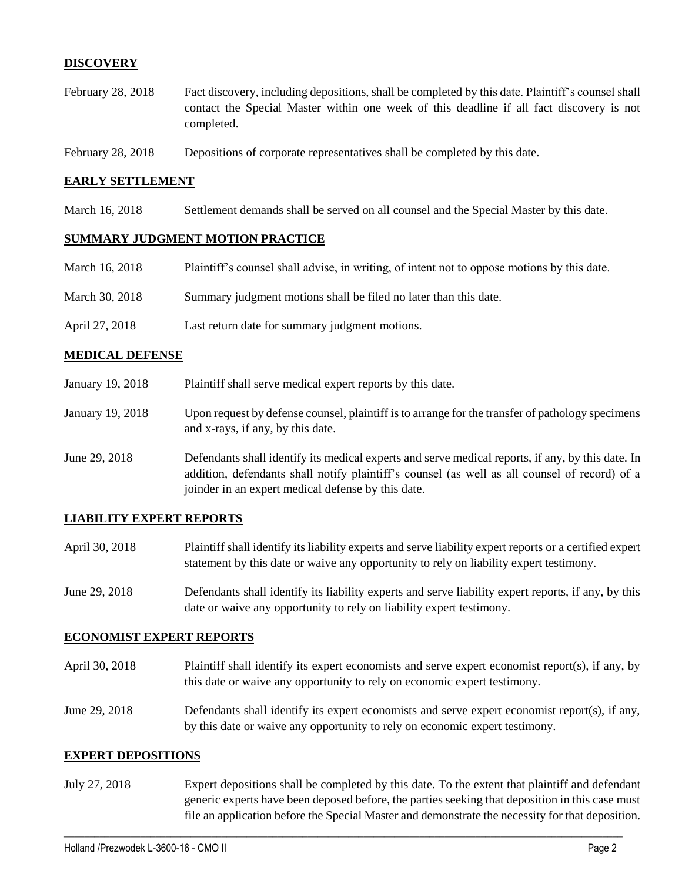## **DISCOVERY**

- February 28, 2018 Fact discovery, including depositions, shall be completed by this date. Plaintiff's counsel shall contact the Special Master within one week of this deadline if all fact discovery is not completed.
- February 28, 2018 Depositions of corporate representatives shall be completed by this date.

#### **EARLY SETTLEMENT**

March 16, 2018 Settlement demands shall be served on all counsel and the Special Master by this date.

#### **SUMMARY JUDGMENT MOTION PRACTICE**

| March 16, 2018 | Plaintiff's counsel shall advise, in writing, of intent not to oppose motions by this date. |
|----------------|---------------------------------------------------------------------------------------------|
| March 30, 2018 | Summary judgment motions shall be filed no later than this date.                            |
| April 27, 2018 | Last return date for summary judgment motions.                                              |

#### **MEDICAL DEFENSE**

| January 19, 2018 | Plaintiff shall serve medical expert reports by this date.                                                                                                                                                                                               |
|------------------|----------------------------------------------------------------------------------------------------------------------------------------------------------------------------------------------------------------------------------------------------------|
| January 19, 2018 | Upon request by defense counsel, plaintiff is to arrange for the transfer of pathology specimens<br>and x-rays, if any, by this date.                                                                                                                    |
| June 29, 2018    | Defendants shall identify its medical experts and serve medical reports, if any, by this date. In<br>addition, defendants shall notify plaintiff's counsel (as well as all counsel of record) of a<br>joinder in an expert medical defense by this date. |

#### **LIABILITY EXPERT REPORTS**

- April 30, 2018 Plaintiff shall identify its liability experts and serve liability expert reports or a certified expert statement by this date or waive any opportunity to rely on liability expert testimony.
- June 29, 2018 Defendants shall identify its liability experts and serve liability expert reports, if any, by this date or waive any opportunity to rely on liability expert testimony.

#### **ECONOMIST EXPERT REPORTS**

- April 30, 2018 Plaintiff shall identify its expert economists and serve expert economist report(s), if any, by this date or waive any opportunity to rely on economic expert testimony.
- June 29, 2018 Defendants shall identify its expert economists and serve expert economist report(s), if any, by this date or waive any opportunity to rely on economic expert testimony.

#### **EXPERT DEPOSITIONS**

July 27, 2018 Expert depositions shall be completed by this date. To the extent that plaintiff and defendant generic experts have been deposed before, the parties seeking that deposition in this case must file an application before the Special Master and demonstrate the necessity for that deposition.

 $\_$  ,  $\_$  ,  $\_$  ,  $\_$  ,  $\_$  ,  $\_$  ,  $\_$  ,  $\_$  ,  $\_$  ,  $\_$  ,  $\_$  ,  $\_$  ,  $\_$  ,  $\_$  ,  $\_$  ,  $\_$  ,  $\_$  ,  $\_$  ,  $\_$  ,  $\_$  ,  $\_$  ,  $\_$  ,  $\_$  ,  $\_$  ,  $\_$  ,  $\_$  ,  $\_$  ,  $\_$  ,  $\_$  ,  $\_$  ,  $\_$  ,  $\_$  ,  $\_$  ,  $\_$  ,  $\_$  ,  $\_$  ,  $\_$  ,